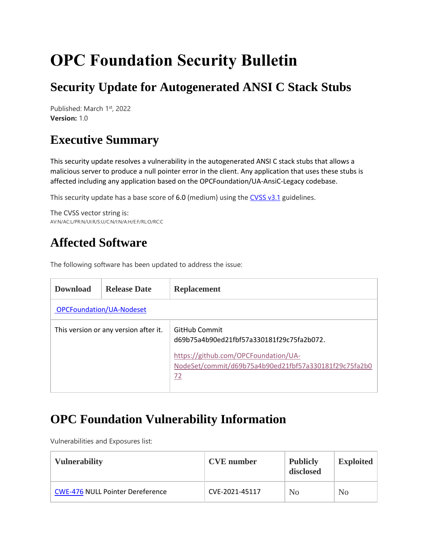# **OPC Foundation Security Bulletin**

## **Security Update for Autogenerated ANSI C Stack Stubs**

Published: March 1st, 2022 **Version:** 1.0

#### **Executive Summary**

This security update resolves a vulnerability in the autogenerated ANSI C stack stubs that allows a malicious server to produce a null pointer error in the client. Any application that uses these stubs is affected including any application based on the OPCFoundation/UA-AnsiC-Legacy codebase.

This security update has a base score of 6.0 (medium) using the  $CVSS v3.1$  guidelines.

The CVSS vector string is: AV:N/AC:L/PR:N/UI:R/S:U/C:N/I:N/A:H/E:F/RL:O/RC:C

#### **Affected Software**

The following software has been updated to address the issue:

| <b>Download</b>                       | <b>Release Date</b> | <b>Replacement</b>                                                                                  |  |  |  |
|---------------------------------------|---------------------|-----------------------------------------------------------------------------------------------------|--|--|--|
| <b>OPCFoundation/UA-Nodeset</b>       |                     |                                                                                                     |  |  |  |
| This version or any version after it. |                     | GitHub Commit<br>d69b75a4b90ed21fbf57a330181f29c75fa2b072.                                          |  |  |  |
|                                       |                     | https://github.com/OPCFoundation/UA-<br>NodeSet/commit/d69b75a4b90ed21fbf57a330181f29c75fa2b0<br>72 |  |  |  |

#### **OPC Foundation Vulnerability Information**

Vulnerabilities and Exposures list:

| <b>Vulnerability</b>                    | <b>CVE</b> number | <b>Publicly</b><br>disclosed | <b>Exploited</b> |
|-----------------------------------------|-------------------|------------------------------|------------------|
| <b>CWE-476 NULL Pointer Dereference</b> | CVE-2021-45117    | No                           | N <sub>0</sub>   |